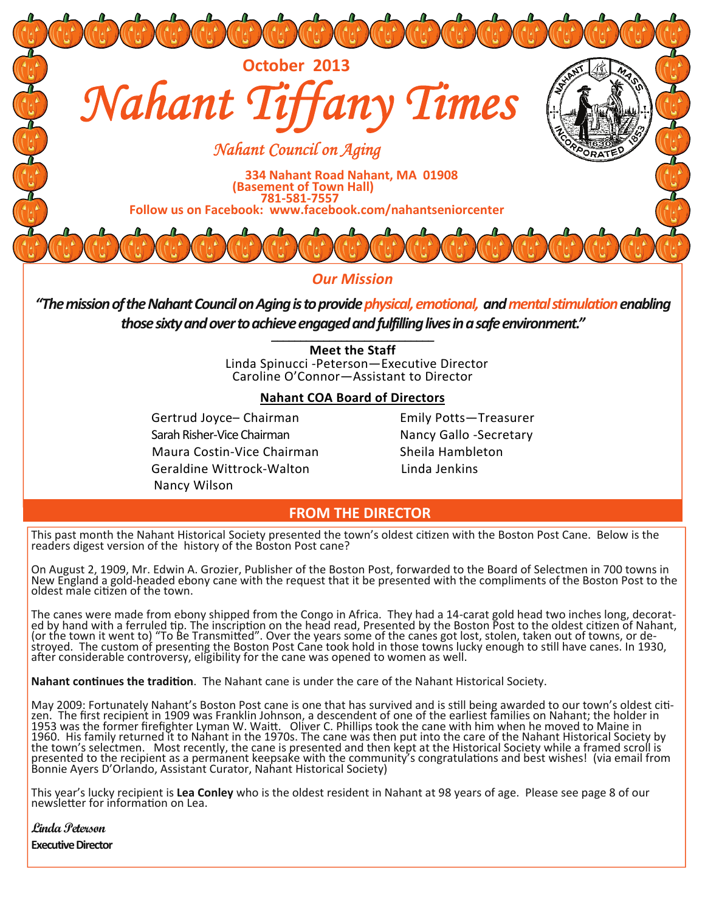

*Our Mission*

*"ThemissionoftheNahantCouncilonAgingistoprovidephysical,emotional, andmentalstimulationenabling* those sixty and over to achieve engaged and fulfilling lives in a safe environment."

> **Meet the Staff** Linda Spinucci ‐Peterson—Executive Director Caroline O'Connor—Assistant to Director

# **Nahant COA Board of Directors**

Gertrud Joyce-Chairman Emily Potts-Treasurer Sarah Risher-Vice Chairman Nancy Gallo -Secretary Maura Costin-Vice Chairman Sheila Hambleton Geraldine Wittrock-Walton Linda Jenkins Nancy Wilson

# **FROM THE DIRECTOR**

This past month the Nahant Historical Society presented the town's oldest citizen with the Boston Post Cane. Below is the readers digest version of the history of the Boston Post cane?

On August 2, 1909, Mr. Edwin A. Grozier, Publisher of the Boston Post, forwarded to the Board of Selectmen in 700 towns in New England a gold-headed ebony cane with the request that it be presented with the compliments of the Boston Post to the oldest male citizen of the town.

The canes were made from ebony shipped from the Congo in Africa. They had a 14-carat gold head two inches long, decorat-<br>ed by hand with a ferruled tip. The inscription on the head read, Presented by the Boston Post to the (or the town it went to) "To Be Transmitted". Over the years some of the canes got lost, stolen, taken out of towns, or de-<br>stroyed. The custom of presenting the Boston Post Cane took hold in those towns lucky enough to st stroyed. The custom of presenting the Boston Post Cane took hold in those towns lucky enough to still have canes. In 1930,<br>after considerable controversy, eligibility for the cane was opened to women as well.

**Nahant continues the tradition.** The Nahant cane is under the care of the Nahant Historical Society.

May 2009: Fortunately Nahant's Boston Post cane is one that has survived and is still being awarded to our town's oldest citizen. The first recipient in 1909 was Franklin Johnson, a descendent of one of the earliest families on Nahant; the holder in 1953 was the former firefighter Lyman W. Waitt. Oliver C. Phillips took the cane with him when he moved to Maine in<br>1960. His family returned it to Nahant in the 1970s. The cane was then put into the care of the Nahant His

This year's lucky recipient is **Lea Conley** who is the oldest resident in Nahant at 98 years of age. Please see page 8 of our<br>newsletter for information on Lea.

**Linda Peterson Executive Director**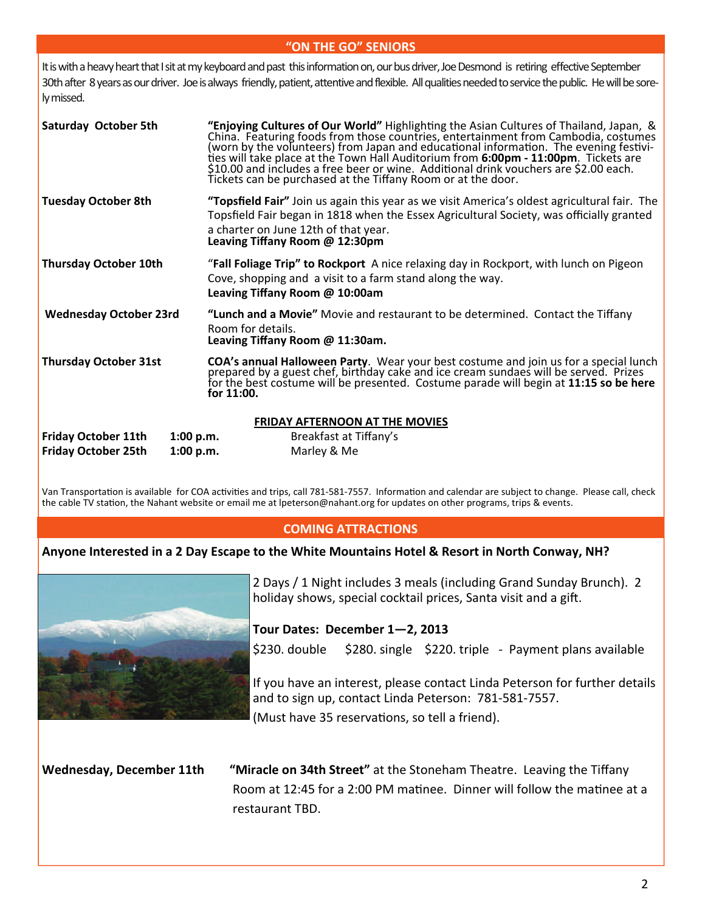# **"ON THE GO" SENIORS**

It is with a heavy heart that I sit at my keyboard and past this information on, our bus driver, Joe Desmond is retiring effective September 30th after 8 years as our driver. Joe is always friendly, patient, attentive and flexible. All qualities needed to service the public. He will be sorely missed.

| Saturday October 5th                                                               | "Enjoying Cultures of Our World" Highlighting the Asian Cultures of Thailand, Japan, &<br>China. Featuring foods from those countries, entertainment from Cambodia, costumes<br>(worn by the volunteers) from Japan and educational information. The evening festivi-<br>ties will take place at the Town Hall Auditorium from 6:00pm - 11:00pm. Tickets are<br>\$10.00 and includes a free beer or wine. Additional drink vouchers are \$2.00 each.<br>Tickets can be purchased at the Tiffany Room or at the door. |  |  |  |  |  |  |
|------------------------------------------------------------------------------------|----------------------------------------------------------------------------------------------------------------------------------------------------------------------------------------------------------------------------------------------------------------------------------------------------------------------------------------------------------------------------------------------------------------------------------------------------------------------------------------------------------------------|--|--|--|--|--|--|
| <b>Tuesday October 8th</b>                                                         | "Topsfield Fair" Join us again this year as we visit America's oldest agricultural fair. The<br>Topsfield Fair began in 1818 when the Essex Agricultural Society, was officially granted<br>a charter on June 12th of that year.<br>Leaving Tiffany Room @ 12:30pm                                                                                                                                                                                                                                                   |  |  |  |  |  |  |
| <b>Thursday October 10th</b>                                                       | "Fall Foliage Trip" to Rockport A nice relaxing day in Rockport, with lunch on Pigeon<br>Cove, shopping and a visit to a farm stand along the way.<br>Leaving Tiffany Room @ 10:00am                                                                                                                                                                                                                                                                                                                                 |  |  |  |  |  |  |
| <b>Wednesday October 23rd</b>                                                      | "Lunch and a Movie" Movie and restaurant to be determined. Contact the Tiffany<br>Room for details.<br>Leaving Tiffany Room @ 11:30am.                                                                                                                                                                                                                                                                                                                                                                               |  |  |  |  |  |  |
| <b>Thursday October 31st</b>                                                       | <b>COA's annual Halloween Party.</b> Wear your best costume and join us for a special lunch<br>prepared by a guest chef, birthday cake and ice cream sundaes will be served. Prizes<br>for the best costume will be presented. Costume parade will begin at 11:15 so be here<br>for $11:00$ .                                                                                                                                                                                                                        |  |  |  |  |  |  |
| <b>Friday October 11th</b><br>1:00 p.m.<br><b>Friday October 25th</b><br>1:00 p.m. | <b>FRIDAY AFTERNOON AT THE MOVIES</b><br>Breakfast at Tiffany's<br>Marley & Me                                                                                                                                                                                                                                                                                                                                                                                                                                       |  |  |  |  |  |  |

Van Transportation is available for COA activities and trips, call 781-581-7557. Information and calendar are subject to change. Please call, check the cable TV station, the Nahant website or email me at lpeterson@nahant.org for updates on other programs, trips & events.

# **COMING ATTRACTIONS**

# Anyone Interested in a 2 Day Escape to the White Mountains Hotel & Resort in North Conway, NH?



2 Days / 1 Night includes 3 meals (including Grand Sunday Brunch). 2 holiday shows, special cocktail prices, Santa visit and a gift.

**Tour Dates: December 1—2, 2013**

\$230. double \$280. single \$220. triple ‐ Payment plans available

If you have an interest, please contact Linda Peterson for further details and to sign up, contact Linda Peterson: 781‐581‐7557.

(Must have 35 reservations, so tell a friend).

**Wednesday, December 11th "Miracle on 34th Street"** at the Stoneham Theatre. Leaving the Tiffany Room at 12:45 for a 2:00 PM matinee. Dinner will follow the matinee at a restaurant TBD.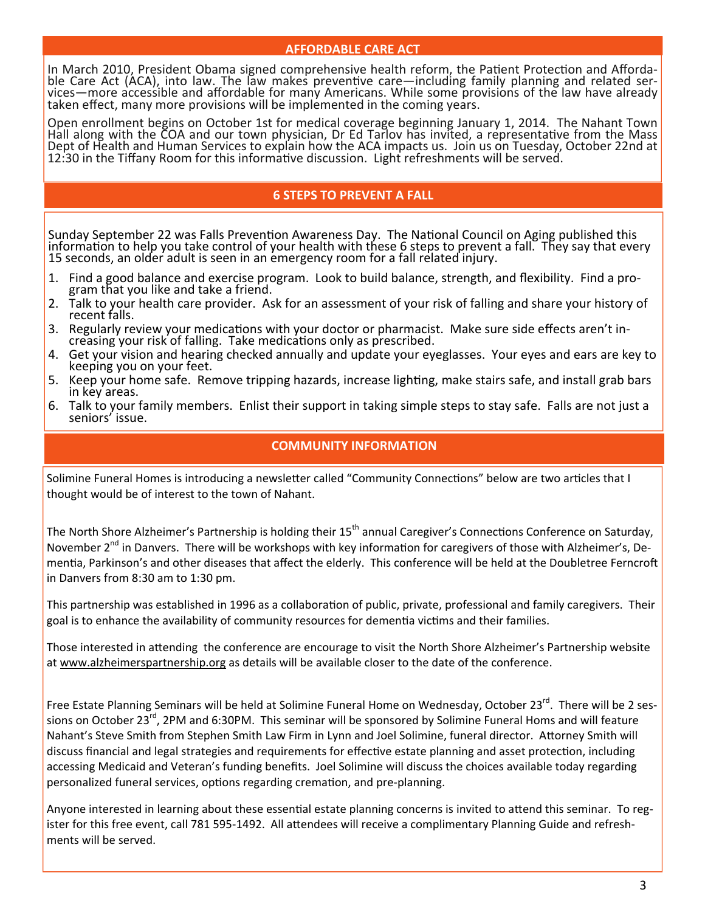## **AFFORDABLE CARE ACT**

In March 2010, President Obama signed comprehensive health reform, the Patient Protection and Afforda-<br>ble Care Act (ACA), into law. The law makes preventive care—including family planning and related ser-<br>vices—more acces

Open enrollment begins on October 1st for medical coverage beginning January 1, 2014. The Nahant Town<br>Hall along with the COA and our town physician, Dr Ed Tarlov has invited, a representative from the Mass Dept of Health and Human Services to explain how the ACA impacts us. Join us on Tuesday, October 22nd at<br>12:30 in the Tiffany Room for this informative discussion. Light refreshments will be served.

# **6 STEPS TO PREVENT A FALL**

Sunday September 22 was Falls Prevention Awareness Day. The National Council on Aging published this<br>information to help you take control of your health with these 6 steps to prevent a fall. They say that every<br>15 seconds,

- 1. Find a good balance and exercise program. Look to build balance, strength, and flexibility. Find a pro‐ gram that you like and take a friend.
- 2. Talk to your health care provider. Ask for an assessment of your risk of falling and share your history of recent falls.<br>3. Regularly review your medications with your doctor or pharmacist. Make sure side effects aren't
- Regularly review your medications with your doctor or pharmacist. Make sure side effects aren't in-<br>creasing your risk of falling. Take medications only as prescribed.
- 4. Get your vision and hearing checked annually and update your eyeglasses. Your eyes and ears are key to keeping you on your feet.
- 5. Keep your home safe. Remove tripping hazards, increase lighting, make stairs safe, and install grab bars in key areas.
- 6. Talk to your family members. Enlist their support in taking simple steps to stay safe. Falls are not just a<br>seniors' issue.

# **COMMUNITY INFORMATION**

Solimine Funeral Homes is introducing a newsletter called "Community Connections" below are two articles that I thought would be of interest to the town of Nahant.

The North Shore Alzheimer's Partnership is holding their 15<sup>th</sup> annual Caregiver's Connections Conference on Saturday, November 2<sup>nd</sup> in Danvers. There will be workshops with key information for caregivers of those with Alzheimer's, Dementia, Parkinson's and other diseases that affect the elderly. This conference will be held at the Doubletree Ferncroft in Danvers from 8:30 am to 1:30 pm.

This partnership was established in 1996 as a collaboration of public, private, professional and family caregivers. Their goal is to enhance the availability of community resources for dementia victims and their families.

Those interested in attending the conference are encourage to visit the North Shore Alzheimer's Partnership website at [www.alzheimerspartnership.org](http://www.alzheimerspartnership.org) as details will be available closer to the date of the conference.

Free Estate Planning Seminars will be held at Solimine Funeral Home on Wednesday, October 23<sup>rd</sup>. There will be 2 sessions on October 23<sup>rd</sup>, 2PM and 6:30PM. This seminar will be sponsored by Solimine Funeral Homs and will feature Nahant's Steve Smith from Stephen Smith Law Firm in Lynn and Joel Solimine, funeral director. Attorney Smith will discuss financial and legal strategies and requirements for effective estate planning and asset protection, including accessing Medicaid and Veteran's funding benefits. Joel Solimine will discuss the choices available today regarding personalized funeral services, options regarding cremation, and pre-planning.

Anyone interested in learning about these essential estate planning concerns is invited to attend this seminar. To register for this free event, call 781 595-1492. All attendees will receive a complimentary Planning Guide and refreshments will be served.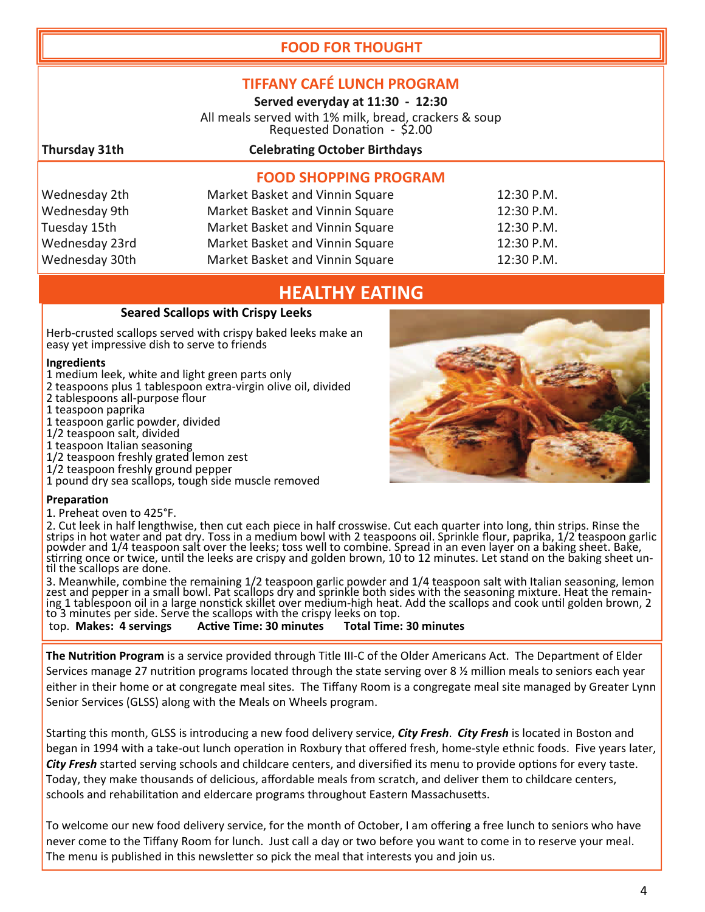# **FOOD FOR THOUGHT**

# **TIFFANY CAFÉ LUNCH PROGRAM**

**Served everyday at 11:30 ‐ 12:30**

All meals served with 1% milk, bread, crackers & soup<br>Requested Donation - \$2.00

Wednesday 2th Wednesday 9th Tuesday 15th Wednesday 23rd Wednesday 30th

# **Thursday 31th CelebraƟng October Birthdays**

# **FOOD SHOPPING PROGRAM**

| Market Basket and Vinnin Square | 12:30 P.M. |
|---------------------------------|------------|
| Market Basket and Vinnin Square | 12:30 P.M. |
| Market Basket and Vinnin Square | 12:30 P.M. |
| Market Basket and Vinnin Square | 12:30 P.M. |
| Market Basket and Vinnin Square | 12:30 P.M. |

# **HEALTHY EATING**

# **Seared Scallops with Crispy Leeks**

Herb-crusted scallops served with crispy baked leeks make an easy yet impressive dish to serve to friends

#### **Ingredients**

- 1 medium leek, white and light green parts only
- 2 teaspoons plus 1 tablespoon extra‐virgin olive oil, divided
- 2 tablespoons all‐purpose flour
- 1 teaspoon paprika

1 teaspoon garlic powder, divided

- 1/2 teaspoon salt, divided
- 1 teaspoon Italian seasoning
- 1/2 teaspoon freshly grated lemon zest
- 1/2 teaspoon freshly ground pepper
- 1 pound dry sea scallops, tough side muscle removed

#### **PreparaƟon**

1. Preheat oven to 425°F.

2. Cut leek in half lengthwise, then cut each piece in half crosswise. Cut each quarter into long, thin strips. Rinse the strips in hot water and pat dry. Toss in a medium bowl with 2 teaspoons oil. Sprinkle flour, paprika solve and 1/4 teaspoon salt over the leeks; toss well to combine. Spread in an even layer on a baking sheet. Bake, striving once or twice, until the leeks are crispy and golden brown, 10 to 12 minutes. Let stand on the bak

3. Meanwhile, combine the remaining 1/2 teaspoon garlic powder and 1/4 teaspoon salt with Italian seasoning, lemon zest and pepper in a small bowl. Pat scallops dry and sprinkle both sides with the seasoning mixture. Heat

**top. Makes: 4 servings** 

**The Nutrition Program** is a service provided through Title III-C of the Older Americans Act. The Department of Elder Services manage 27 nutrition programs located through the state serving over 8 % million meals to seniors each year either in their home or at congregate meal sites. The Tiffany Room is a congregate meal site managed by Greater Lynn Senior Services (GLSS) along with the Meals on Wheels program.

StarƟng this month, GLSS is introducing a new food delivery service, *City Fresh*. *City Fresh* is located in Boston and began in 1994 with a take-out lunch operation in Roxbury that offered fresh, home-style ethnic foods. Five years later, *City Fresh* started serving schools and childcare centers, and diversified its menu to provide options for every taste. Today, they make thousands of delicious, affordable meals from scratch, and deliver them to childcare centers, schools and rehabilitation and eldercare programs throughout Eastern Massachusetts.

To welcome our new food delivery service, for the month of October, I am offering a free lunch to seniors who have never come to the Tiffany Room for lunch. Just call a day or two before you want to come in to reserve your meal. The menu is published in this newsletter so pick the meal that interests you and join us.

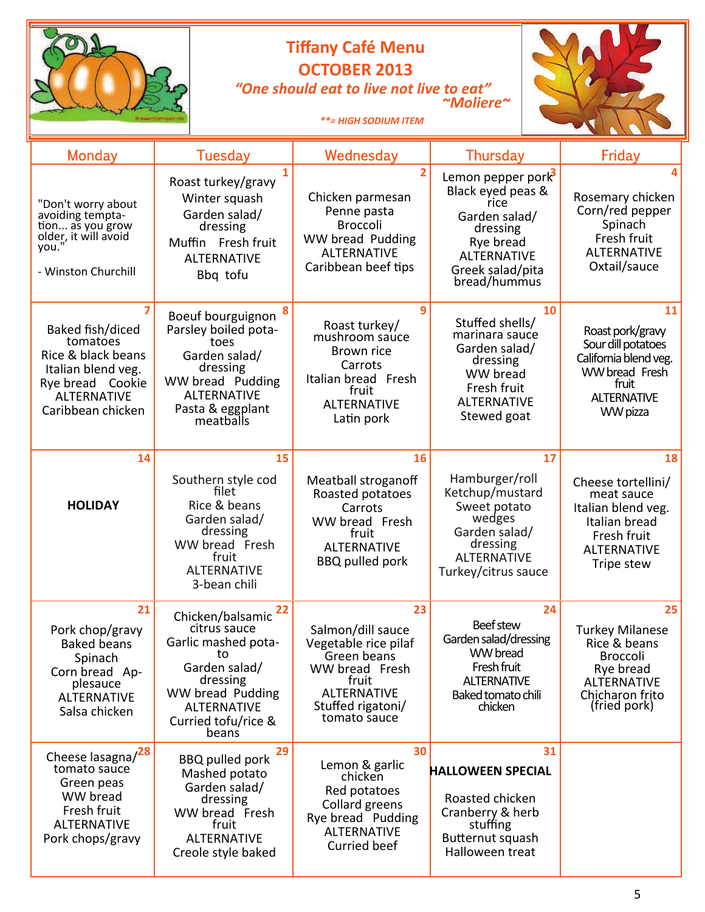# **Tiffany Café Menu OCTOBER 2013**  *"One should eat to live not live to eat" ~Moliere~*



 *\*\*= HIGH SODIUM ITEM* 

| <b>Monday</b>                                                                                                                           | <b>Tuesday</b>                                                                                                                                                             | Wednesday                                                                                                                                            | <b>Thursday</b>                                                                                                                                    | Friday                                                                                                                                |
|-----------------------------------------------------------------------------------------------------------------------------------------|----------------------------------------------------------------------------------------------------------------------------------------------------------------------------|------------------------------------------------------------------------------------------------------------------------------------------------------|----------------------------------------------------------------------------------------------------------------------------------------------------|---------------------------------------------------------------------------------------------------------------------------------------|
| "Don't worry about<br>avoiding tempta-<br>tion as you grow<br>older, it will avoid<br>you.'<br>- Winston Churchill                      | Roast turkey/gravy<br>Winter squash<br>Garden salad/<br>dressing<br>Muffin Fresh fruit<br><b>ALTERNATIVE</b><br>Bbq tofu                                                   | $\overline{2}$<br>Chicken parmesan<br>Penne pasta<br><b>Broccoli</b><br>WW bread Pudding<br><b>ALTERNATIVE</b><br>Caribbean beef tips                | Lemon pepper pork<br>Black eyed peas &<br>rice<br>Garden salad/<br>dressing<br>Rye bread<br><b>ALTERNATIVE</b><br>Greek salad/pita<br>bread/hummus | Rosemary chicken<br>Corn/red pepper<br>Spinach<br>Fresh fruit<br><b>ALTERNATIVE</b><br>Oxtail/sauce                                   |
| Baked fish/diced<br>tomatoes<br>Rice & black beans<br>Italian blend veg.<br>Rye bread Cookie<br><b>ALTERNATIVE</b><br>Caribbean chicken | Boeuf bourguignon<br>Parsley boiled pota-<br>toes<br>Garden salad/<br>dressing<br>WW bread Pudding<br><b>ALTERNATIVE</b><br>Pasta & eggplant<br>meatballs                  | 9<br>Roast turkey/<br>mushroom sauce<br><b>Brown rice</b><br>Carrots<br>Italian bread Fresh<br>fruit<br><b>ALTERNATIVE</b><br>Latin pork             | 10<br>Stuffed shells/<br>marinara sauce<br>Garden salad/<br>dressing<br>WW bread<br>Fresh fruit<br><b>ALTERNATIVE</b><br>Stewed goat               | 11<br>Roast pork/gravy<br>Sour dill potatoes<br>California blend veg.<br>WW bread Fresh<br>fruit<br><b>ALTERNATIVE</b><br>WW pizza    |
| 14                                                                                                                                      | 15                                                                                                                                                                         | 16                                                                                                                                                   | 17                                                                                                                                                 | 18                                                                                                                                    |
| <b>HOLIDAY</b>                                                                                                                          | Southern style cod<br>filet<br>Rice & beans<br>Garden salad/<br>dressing<br>WW bread Fresh<br>fruit<br><b>ALTERNATIVE</b><br>3-bean chili                                  | Meatball stroganoff<br>Roasted potatoes<br>Carrots<br>WW bread Fresh<br>fruit<br><b>ALTERNATIVE</b><br><b>BBQ</b> pulled pork                        | Hamburger/roll<br>Ketchup/mustard<br>Sweet potato<br>wedges<br>Garden salad/<br>dressing<br><b>ALTERNATIVE</b><br>Turkey/citrus sauce              | Cheese tortellini/<br>meat sauce<br>Italian blend veg.<br>Italian bread<br>Fresh fruit<br><b>ALTERNATIVE</b><br>Tripe stew            |
| 21<br>Pork chop/gravy<br><b>Baked beans</b><br>Spinach<br>Corn bread Ap-<br>plesauce<br><b>ALTERNATIVE</b><br>Salsa chicken             | 22<br>Chicken/balsamic<br>citrus sauce<br>Garlic mashed pota-<br>ιο<br>Garden salad/<br>dressing<br>WW bread Pudding<br><b>ALTERNATIVE</b><br>Curried tofu/rice &<br>beans | 23<br>Salmon/dill sauce<br>Vegetable rice pilaf<br>Green beans<br>WW bread Fresh<br>fruit<br><b>ALTERNATIVE</b><br>Stuffed rigatoni/<br>tomato sauce | 24<br><b>Beef stew</b><br>Garden salad/dressing<br>WW bread<br>Fresh fruit<br><b>ALTERNATIVE</b><br>Baked tomato chili<br>chicken                  | 25<br><b>Turkey Milanese</b><br>Rice & beans<br><b>Broccoli</b><br>Rye bread<br><b>ALTERNATIVE</b><br>Chicharon frito<br>(fried pork) |
| Cheese lasagna/28<br>tomato sauce<br>Green peas<br>WW bread<br>Fresh fruit<br><b>ALTERNATIVE</b><br>Pork chops/gravy                    | 29<br><b>BBQ pulled pork</b><br>Mashed potato<br>Garden salad/<br>dressing<br>WW bread Fresh<br>fruit<br><b>ALTERNATIVE</b><br>Creole style baked                          | 30<br>Lemon & garlic<br>chicken<br>Red potatoes<br>Collard greens<br>Rye bread Pudding<br><b>ALTERNATIVE</b><br>Curried beef                         | 31<br><b>HALLOWEEN SPECIAL</b><br>Roasted chicken<br>Cranberry & herb<br>stuffing<br>Butternut squash<br>Halloween treat                           |                                                                                                                                       |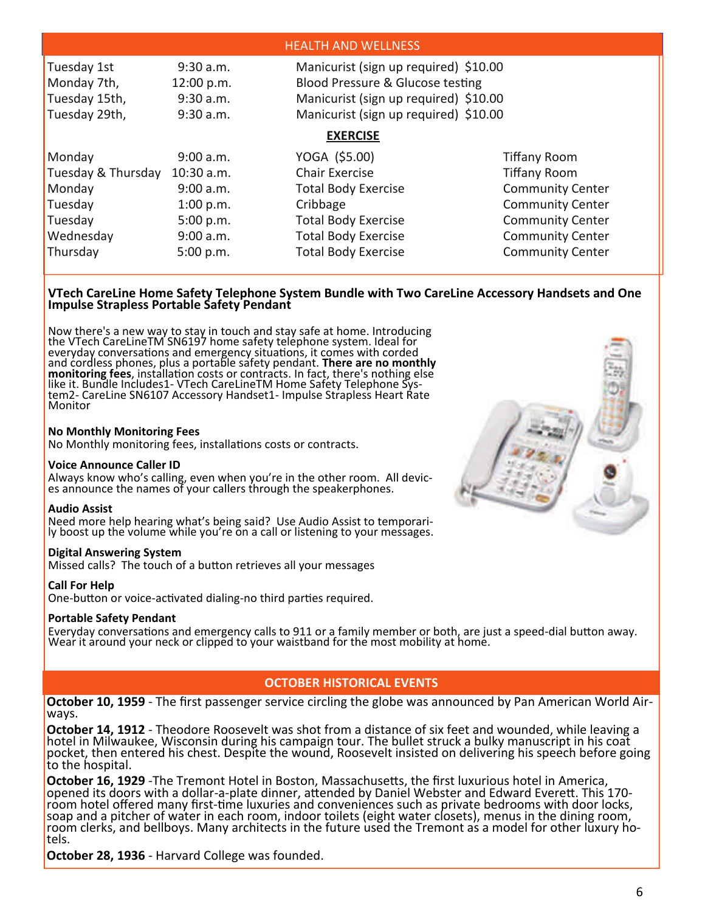|                                                                                                                                                                                                                                                                                  |                                     | <b>HEALTH AND WELLNESS</b>                                           |                                                                               |  |  |
|----------------------------------------------------------------------------------------------------------------------------------------------------------------------------------------------------------------------------------------------------------------------------------|-------------------------------------|----------------------------------------------------------------------|-------------------------------------------------------------------------------|--|--|
| Tuesday 1st<br>Manicurist (sign up required) \$10.00<br>9:30 a.m.<br>Blood Pressure & Glucose testing<br>Monday 7th,<br>12:00 p.m.<br>Manicurist (sign up required) \$10.00<br>Tuesday 15th,<br>9:30 a.m.<br>Manicurist (sign up required) \$10.00<br>Tuesday 29th,<br>9:30 a.m. |                                     |                                                                      |                                                                               |  |  |
| Monday                                                                                                                                                                                                                                                                           | 9:00 a.m.                           | <b>EXERCISE</b><br>YOGA (\$5.00)                                     | <b>Tiffany Room</b>                                                           |  |  |
| Tuesday & Thursday<br>Monday                                                                                                                                                                                                                                                     | $10:30$ a.m.<br>9:00 a.m.           | <b>Chair Exercise</b><br><b>Total Body Exercise</b>                  | <b>Tiffany Room</b><br><b>Community Center</b>                                |  |  |
| Tuesday<br>Tuesday<br>Wednesday                                                                                                                                                                                                                                                  | 1:00 p.m.<br>5:00 p.m.<br>9:00 a.m. | Cribbage<br><b>Total Body Exercise</b><br><b>Total Body Exercise</b> | <b>Community Center</b><br><b>Community Center</b><br><b>Community Center</b> |  |  |
| Thursday                                                                                                                                                                                                                                                                         | 5:00 p.m.                           | <b>Total Body Exercise</b>                                           | <b>Community Center</b>                                                       |  |  |

#### **VTech CareLine Home Safety Telephone System Bundle with Two CareLine Accessory Handsets and One Impulse Strapless Portable Safety Pendant**

Now there's a new way to stay in touch and stay safe at home. Introducing the VTech CareLineTM SN6197 home safety telephone system. Ideal for the VTech CareLineTM SN6197 home safety telephone system. Ideal for<br>everyday conversations and emergency situations, it comes with corded and cordless phones, plus a portable safety pendant. **There are no monthly** monitoring fees, installation costs or contracts. In fact, there's nothing else<br>like it. Bundle Includes1- VTech CareLineTM Home Safety Telephone Sys-<br>tem2- CareLine SN6107 Accessory Handset1- Impulse Strapless Heart Rate Monitor

#### **No Monthly Monitoring Fees**

No Monthly monitoring fees, installations costs or contracts.

#### **Voice Announce Caller ID**

Always know who's calling, even when you're in the other room. All devic‐ es announce the names of your callers through the speakerphones.

#### **Audio Assist**

Need more help hearing what's being said? Use Audio Assist to temporari-<br>ly boost up the volume while you're on a call or listening to your messages.

#### **Digital Answering System**

Missed calls? The touch of a button retrieves all your messages

#### **Call For Help**

One-button or voice-activated dialing-no third parties required.

#### **Portable Safety Pendant**

Everyday conversations and emergency calls to 911 or a family member or both, are just a speed-dial button away.<br>Wear it around your neck or clipped to your waistband for the most mobility at home.

# **OCTOBER HISTORICAL EVENTS**

**October 10, 1959** - The first passenger service circling the globe was announced by Pan American World Air-<br>ways.

October 14, 1912 - Theodore Roosevelt was shot from a distance of six feet and wounded, while leaving a<br>hotel in Milwaukee, Wisconsin during his campaign tour. The bullet struck a bulky manuscript in his coat<br>pocket, then

**October 16, 1929** -The Tremont Hotel in Boston, Massachusetts, the first luxurious hotel in America,<br>opened its doors with a dollar-a-plate dinner, attended by Daniel Webster and Edward Everett. This 170room hotel offered many first-time luxuries and conveniences such as private bedrooms with door locks,<br>soap and a pitcher of water in each room, indoor toilets (eight water closets), menus in the dining room,<br>room clerks,

**October 28, 1936** ‐ Harvard College was founded.

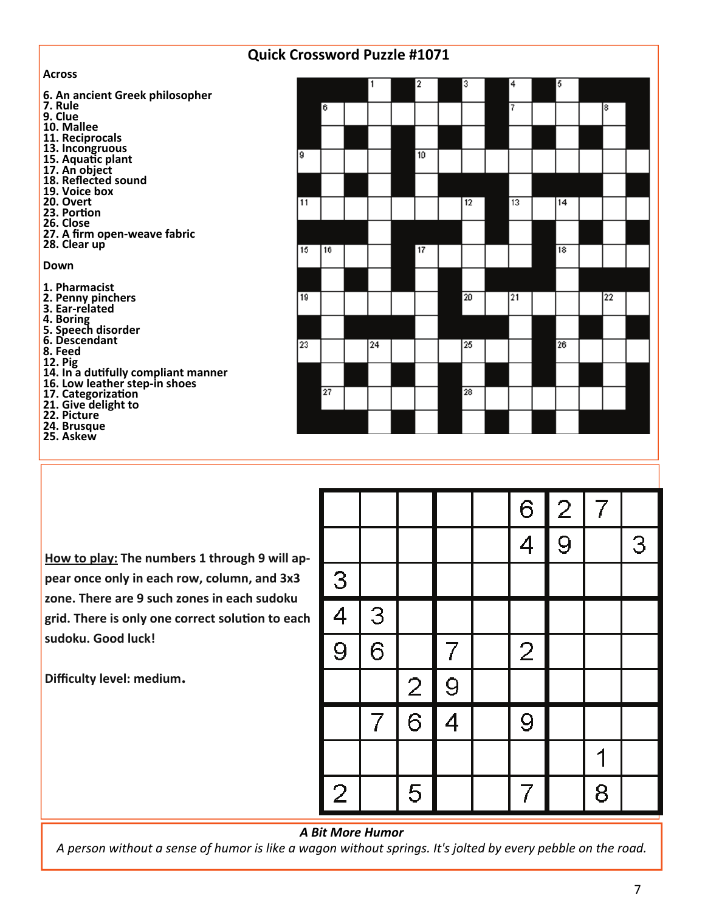# **Quick Crossword Puzzle #1071**

**Across**

| ACIOSS                                                               |     |                 |    |    |    |    |    |    |
|----------------------------------------------------------------------|-----|-----------------|----|----|----|----|----|----|
| 6. An ancient Greek philosopher                                      |     |                 |    | 2  | з  | 4  | 5  |    |
| 7. Rule                                                              |     | 6               |    |    |    | 7  |    | 18 |
| 9. Clue                                                              |     |                 |    |    |    |    |    |    |
| 10. Mallee                                                           |     |                 |    |    |    |    |    |    |
| 11. Reciprocals                                                      |     |                 |    |    |    |    |    |    |
| 13. Incongruous<br>15. Aquatic plant                                 | l9. |                 |    | 10 |    |    |    |    |
| 17. An object                                                        |     |                 |    |    |    |    |    |    |
| 18. Reflected sound                                                  |     |                 |    |    |    |    |    |    |
| 19. Voice box                                                        |     |                 |    |    |    |    |    |    |
| 20. Overt                                                            | 11  |                 |    |    | 12 | 13 | 14 |    |
| 23. Portion                                                          |     |                 |    |    |    |    |    |    |
| 26. Close                                                            |     |                 |    |    |    |    |    |    |
| 27. A firm open-weave fabric                                         |     |                 |    |    |    |    |    |    |
| 28. Clear up                                                         | 15  | 16              |    | 17 |    |    | 18 |    |
| Down                                                                 |     |                 |    |    |    |    |    |    |
|                                                                      |     |                 |    |    |    |    |    |    |
| 1. Pharmacist                                                        |     |                 |    |    |    |    |    |    |
| 2. Penny pinchers                                                    | 19  |                 |    |    | 20 | 21 |    | 2  |
| 3. Ear-related                                                       |     |                 |    |    |    |    |    |    |
| 4. Boring                                                            |     |                 |    |    |    |    |    |    |
| 5. Speech disorder<br>6. Descendant                                  |     |                 |    |    |    |    |    |    |
| 8. Feed                                                              | 23  |                 | 24 |    | 25 |    | 26 |    |
| 12. Pig                                                              |     |                 |    |    |    |    |    |    |
| 14. In a dutifully compliant manner<br>16. Low leather step-in shoes |     |                 |    |    |    |    |    |    |
|                                                                      |     | $\overline{27}$ |    |    | 28 |    |    |    |
| 17. Categorization<br>21. Give delight to                            |     |                 |    |    |    |    |    |    |
| 22. Picture                                                          |     |                 |    |    |    |    |    |    |
| 24. Brusque                                                          |     |                 |    |    |    |    |    |    |
| 25. Askew                                                            |     |                 |    |    |    |    |    |    |
|                                                                      |     |                 |    |    |    |    |    |    |
|                                                                      |     |                 |    |    |    |    |    |    |

**How to play: The numbers 1 through 9 will ap‐ pear once only in each row, column, and 3x3 zone. There are 9 such zones in each sudoku grid. There is only one correct soluƟon to each sudoku. Good luck!**

**Difficulty level: medium.** 

|                |                |                |                | $6\phantom{1}6$ | $\hat{2}$ | $\overline{7}$ |   |
|----------------|----------------|----------------|----------------|-----------------|-----------|----------------|---|
|                |                |                |                | $\overline{4}$  | 9         |                | 3 |
|                |                |                |                |                 |           |                |   |
| $\frac{3}{4}$  | 3              |                |                |                 |           |                |   |
|                | 6              |                | 7              | $\overline{2}$  |           |                |   |
|                |                | $\overline{2}$ | 9              |                 |           |                |   |
|                | $\overline{7}$ | $\overline{6}$ | $\overline{4}$ | 9               |           |                |   |
|                |                |                |                |                 |           |                |   |
| $\overline{2}$ |                | 5              |                |                 |           | 8              |   |

### *A Bit More Humor*

A person without a sense of humor is like a wagon without springs. It's jolted by every pebble on the road.